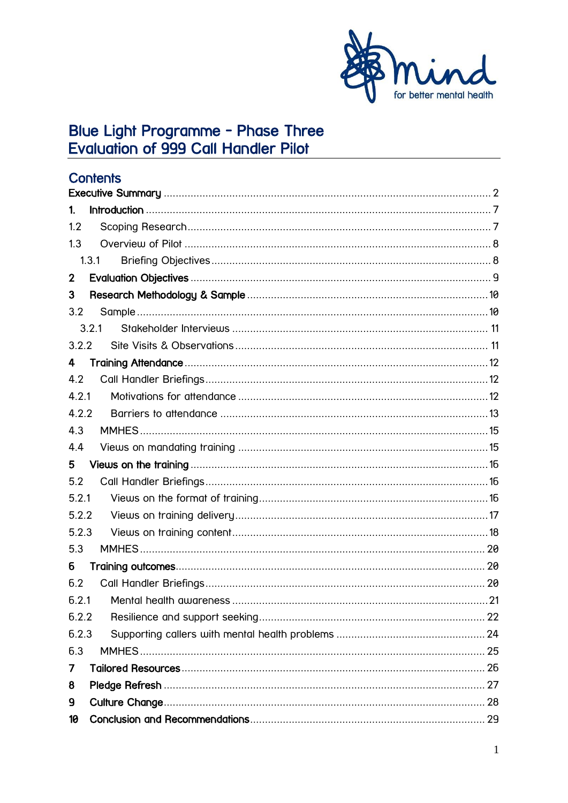

# Blue Light Programme - Phase Three<br>Evaluation of 999 Call Handler Pilot

| <b>Contents</b> |  |
|-----------------|--|
|                 |  |
| $\mathbf{1}$    |  |
| 1.2             |  |
| 1.3             |  |
| 1.3.1           |  |
| $\mathbf 2$     |  |
| 3               |  |
| 3.2             |  |
| 3.2.1           |  |
| 3.2.2           |  |
| 4               |  |
| 4.2             |  |
| 4.2.1           |  |
| 4.2.2           |  |
| 4.3             |  |
| 4.4             |  |
| 5               |  |
| 5.2             |  |
| 5.2.1           |  |
| 5.2.2           |  |
| 5.2.3           |  |
| 5.3             |  |
| б               |  |
| 6.2             |  |
| 6.2.1           |  |
| 6.2.2           |  |
| 6.2.3           |  |
| 6.3             |  |
| 7               |  |
| 8               |  |
| 9               |  |
| 10              |  |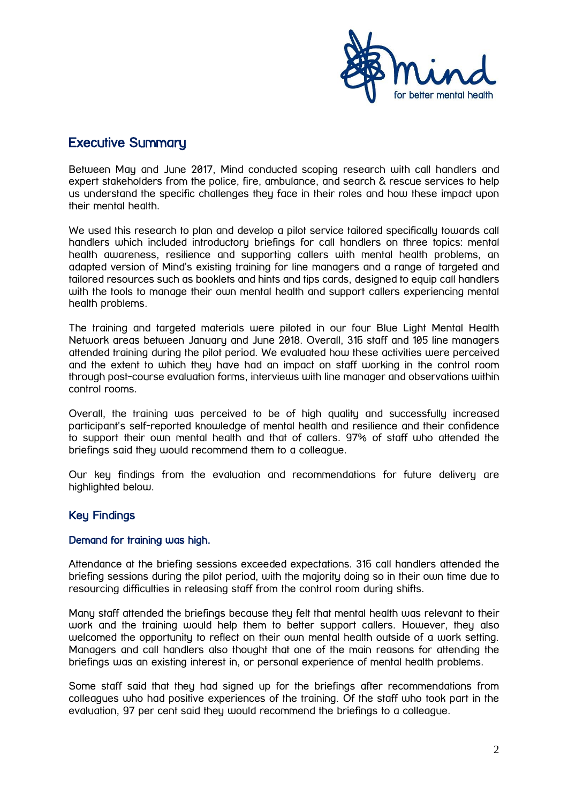

# <span id="page-1-0"></span>Executive Summary

Between May and June 2017, Mind conducted scoping research with call handlers and expert stakeholders from the police, fire, ambulance, and search & rescue services to help us understand the specific challenges they face in their roles and how these impact upon their mental health.

We used this research to plan and develop a pilot service tailored specifically towards call handlers which included introductory briefings for call handlers on three topics: mental health awareness, resilience and supporting callers with mental health problems, an adapted version of Mind's existing training for line managers and a range of targeted and tailored resources such as booklets and hints and tips cards, designed to equip call handlers with the tools to manage their own mental health and support callers experiencing mental health problems.

The training and targeted materials were piloted in our four Blue Light Mental Health Network areas between January and June 2018. Overall, 316 staff and 105 line managers attended training during the pilot period. We evaluated how these activities were perceived and the extent to which they have had an impact on staff working in the control room through post-course evaluation forms, interviews with line manager and observations within control rooms.

Overall, the training was perceived to be of high quality and successfully increased participant's self-reported knowledge of mental health and resilience and their confidence to support their own mental health and that of callers. 97% of staff who attended the briefings said they would recommend them to a colleague.

Our key findings from the evaluation and recommendations for future delivery are highlighted below.

# Key Findings

#### Demand for training was high.

Attendance at the briefing sessions exceeded expectations. 316 call handlers attended the briefing sessions during the pilot period, with the majority doing so in their own time due to resourcing difficulties in releasing staff from the control room during shifts.

Many staff attended the briefings because they felt that mental health was relevant to their work and the training would help them to better support callers. However, they also welcomed the opportunity to reflect on their own mental health outside of a work setting. Managers and call handlers also thought that one of the main reasons for attending the briefings was an existing interest in, or personal experience of mental health problems.

Some staff said that they had signed up for the briefings after recommendations from colleagues who had positive experiences of the training. Of the staff who took part in the evaluation, 97 per cent said they would recommend the briefings to a colleague.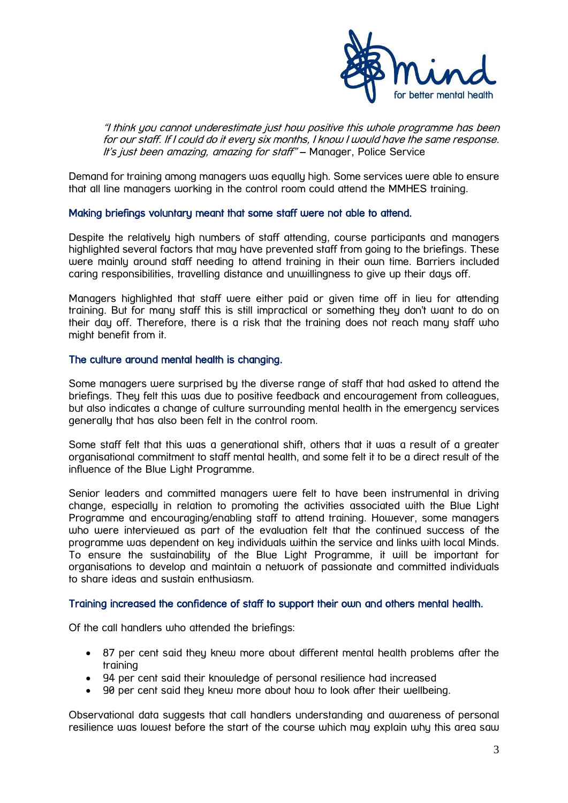

"I think you cannot underestimate just how positive this whole programme has been for our staff. If I could do it every six months, I know I would have the same response. It's just been amazing, amazing for staff" - Manager, Police Service

Demand for training among managers was equally high. Some services were able to ensure that all line managers working in the control room could attend the MMHES training.

#### Making briefings voluntary meant that some staff were not able to attend.

Despite the relatively high numbers of staff attending, course participants and managers highlighted several factors that may have prevented staff from going to the briefings. These were mainly around staff needing to attend training in their own time. Barriers included caring responsibilities, travelling distance and unwillingness to give up their days off.

Managers highlighted that staff were either paid or given time off in lieu for attending training. But for many staff this is still impractical or something they don't want to do on their day off. Therefore, there is a risk that the training does not reach many staff who might benefit from it.

#### The culture around mental health is changing.

Some managers were surprised by the diverse range of staff that had asked to attend the briefings. They felt this was due to positive feedback and encouragement from colleagues, but also indicates a change of culture surrounding mental health in the emergency services generally that has also been felt in the control room.

Some staff felt that this was a generational shift, others that it was a result of a greater organisational commitment to staff mental health, and some felt it to be a direct result of the influence of the Blue Light Programme.

Senior leaders and committed managers were felt to have been instrumental in driving change, especially in relation to promoting the activities associated with the Blue Light Programme and encouraging/enabling staff to attend training. However, some managers who were interviewed as part of the evaluation felt that the continued success of the programme was dependent on key individuals within the service and links with local Minds. To ensure the sustainability of the Blue Light Programme, it will be important for organisations to develop and maintain a network of passionate and committed individuals to share ideas and sustain enthusiasm.

#### Training increased the confidence of staff to support their own and others mental health.

Of the call handlers who attended the briefings:

- 87 per cent said they knew more about different mental health problems after the training
- 94 per cent said their knowledge of personal resilience had increased
- 90 per cent said they knew more about how to look after their wellbeing.

Observational data suggests that call handlers understanding and awareness of personal resilience was lowest before the start of the course which may explain why this area saw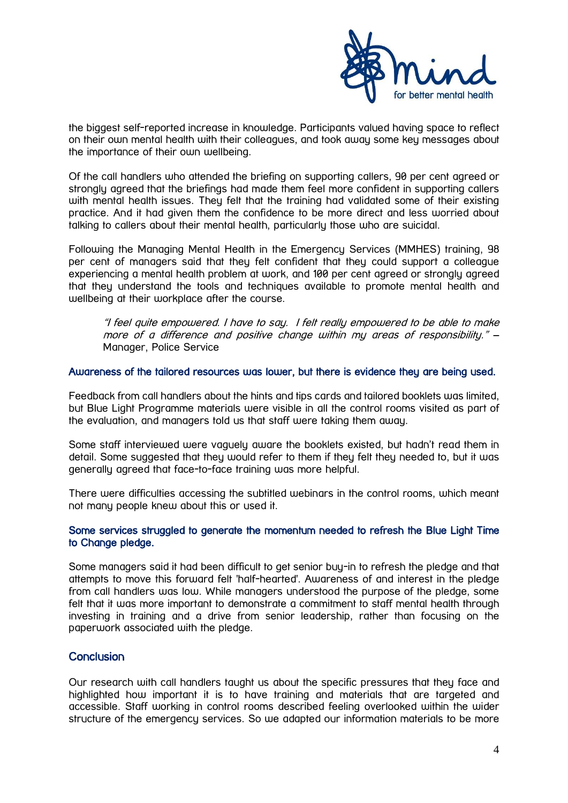

the biggest self-reported increase in knowledge. Participants valued having space to reflect on their own mental health with their colleagues, and took away some key messages about the importance of their own wellbeing.

Of the call handlers who attended the briefing on supporting callers, 90 per cent agreed or strongly agreed that the briefings had made them feel more confident in supporting callers with mental health issues. They felt that the training had validated some of their existing practice. And it had given them the confidence to be more direct and less worried about talking to callers about their mental health, particularly those who are suicidal.

Following the Managing Mental Health in the Emergency Services (MMHES) training, 98 per cent of managers said that they felt confident that they could support a colleague experiencing a mental health problem at work, and 100 per cent agreed or strongly agreed that they understand the tools and techniques available to promote mental health and wellbeing at their workplace after the course.

"I feel quite empowered. I have to say. I felt really empowered to be able to make more of a difference and positive change within my areas of responsibility." – Manager, Police Service

#### Awareness of the tailored resources was lower, but there is evidence they are being used.

Feedback from call handlers about the hints and tips cards and tailored booklets was limited, but Blue Light Programme materials were visible in all the control rooms visited as part of the evaluation, and managers told us that staff were taking them away.

Some staff interviewed were vaguely aware the booklets existed, but hadn't read them in detail. Some suggested that they would refer to them if they felt they needed to, but it was generally agreed that face-to-face training was more helpful.

There were difficulties accessing the subtitled webinars in the control rooms, which meant not many people knew about this or used it.

#### Some services struggled to generate the momentum needed to refresh the Blue Light Time to Change pledge.

Some managers said it had been difficult to get senior buy-in to refresh the pledge and that attempts to move this forward felt 'half-hearted'. Awareness of and interest in the pledge from call handlers was low. While managers understood the purpose of the pledge, some felt that it was more important to demonstrate a commitment to staff mental health through investing in training and a drive from senior leadership, rather than focusing on the paperwork associated with the pledge.

# **Conclusion**

Our research with call handlers taught us about the specific pressures that they face and highlighted how important it is to have training and materials that are targeted and accessible. Staff working in control rooms described feeling overlooked within the wider structure of the emergency services. So we adapted our information materials to be more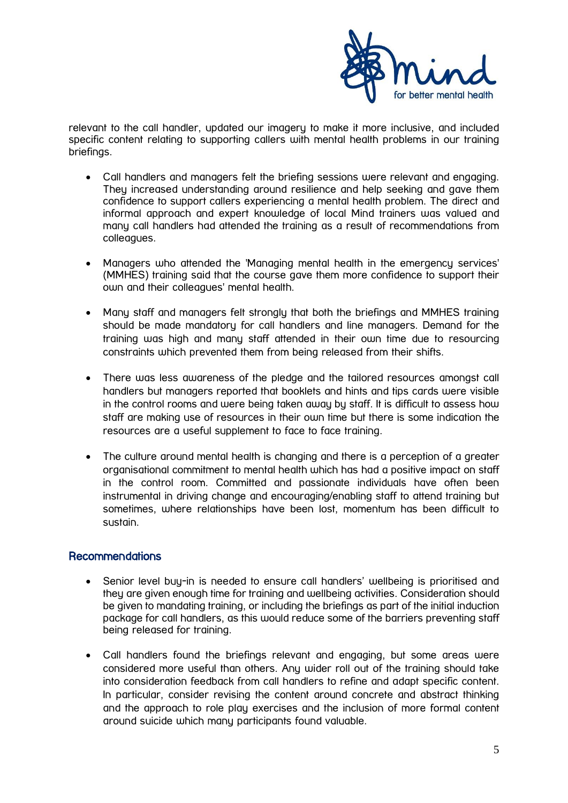

relevant to the call handler, updated our imagery to make it more inclusive, and included specific content relating to supporting callers with mental health problems in our training briefings.

- Call handlers and managers felt the briefing sessions were relevant and engaging. They increased understanding around resilience and help seeking and gave them confidence to support callers experiencing a mental health problem. The direct and informal approach and expert knowledge of local Mind trainers was valued and many call handlers had attended the training as a result of recommendations from colleagues.
- Managers who attended the 'Managing mental health in the emergency services' (MMHES) training said that the course gave them more confidence to support their own and their colleagues' mental health.
- Many staff and managers felt strongly that both the briefings and MMHES training should be made mandatory for call handlers and line managers. Demand for the training was high and many staff attended in their own time due to resourcing constraints which prevented them from being released from their shifts.
- There was less awareness of the pledge and the tailored resources amongst call handlers but managers reported that booklets and hints and tips cards were visible in the control rooms and were being taken away by staff. It is difficult to assess how staff are making use of resources in their own time but there is some indication the resources are a useful supplement to face to face training.
- The culture around mental health is changing and there is a perception of a greater organisational commitment to mental health which has had a positive impact on staff in the control room. Committed and passionate individuals have often been instrumental in driving change and encouraging/enabling staff to attend training but sometimes, where relationships have been lost, momentum has been difficult to sustain.

# **Recommendations**

- Senior level buy-in is needed to ensure call handlers' wellbeing is prioritised and they are given enough time for training and wellbeing activities. Consideration should be given to mandating training, or including the briefings as part of the initial induction package for call handlers, as this would reduce some of the barriers preventing staff being released for training.
- Call handlers found the briefings relevant and engaging, but some areas were considered more useful than others. Any wider roll out of the training should take into consideration feedback from call handlers to refine and adapt specific content. In particular, consider revising the content around concrete and abstract thinking and the approach to role play exercises and the inclusion of more formal content around suicide which many participants found valuable.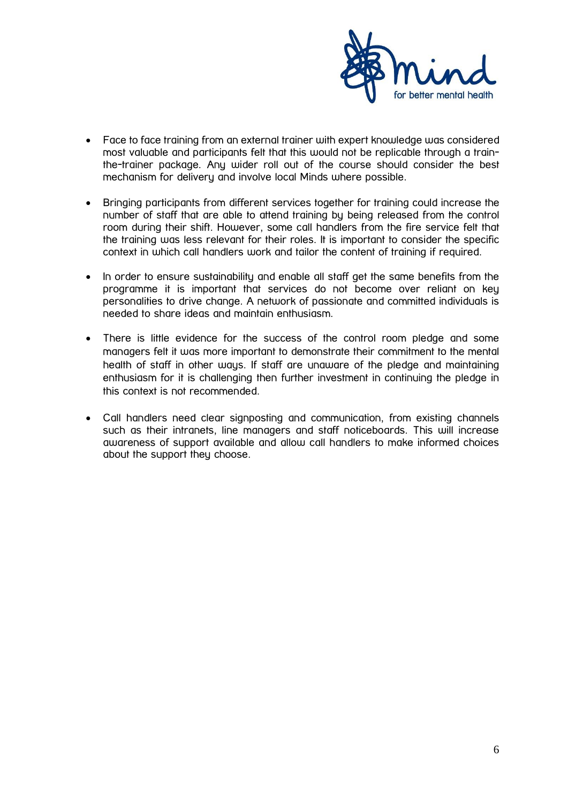

- Face to face training from an external trainer with expert knowledge was considered most valuable and participants felt that this would not be replicable through a trainthe-trainer package. Any wider roll out of the course should consider the best mechanism for delivery and involve local Minds where possible.
- Bringing participants from different services together for training could increase the number of staff that are able to attend training by being released from the control room during their shift. However, some call handlers from the fire service felt that the training was less relevant for their roles. It is important to consider the specific context in which call handlers work and tailor the content of training if required.
- In order to ensure sustainability and enable all staff get the same benefits from the programme it is important that services do not become over reliant on key personalities to drive change. A network of passionate and committed individuals is needed to share ideas and maintain enthusiasm.
- There is little evidence for the success of the control room pledge and some managers felt it was more important to demonstrate their commitment to the mental health of staff in other ways. If staff are unaware of the pledge and maintaining enthusiasm for it is challenging then further investment in continuing the pledge in this context is not recommended.
- Call handlers need clear signposting and communication, from existing channels such as their intranets, line managers and staff noticeboards. This will increase awareness of support available and allow call handlers to make informed choices about the support they choose.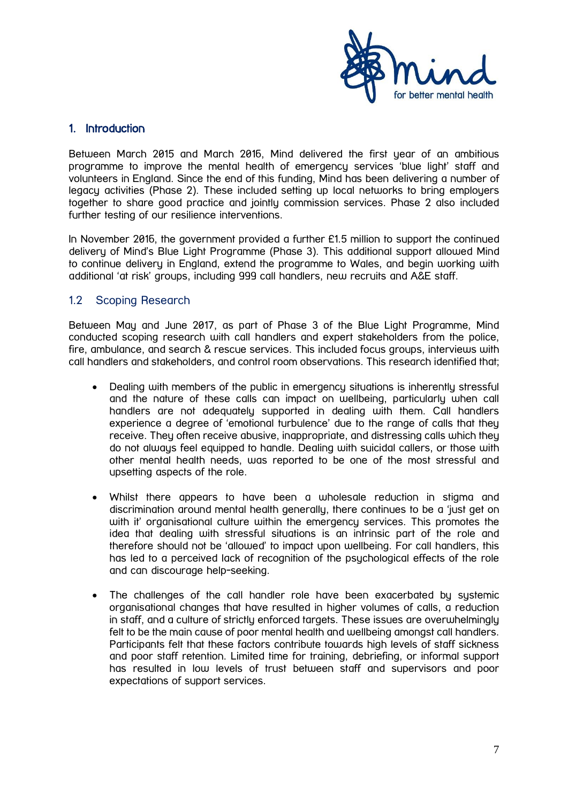

### <span id="page-6-0"></span>1. Introduction

Between March 2015 and March 2016, Mind delivered the first year of an ambitious programme to improve the mental health of emergency services 'blue light' staff and volunteers in England. Since the end of this funding, Mind has been delivering a number of legacy activities (Phase 2). These included setting up local networks to bring employers together to share good practice and jointly commission services. Phase 2 also included further testing of our resilience interventions.

In November 2016, the government provided a further £1.5 million to support the continued delivery of Mind's Blue Light Programme (Phase 3). This additional support allowed Mind to continue delivery in England, extend the programme to Wales, and begin working with additional 'at risk' groups, including 999 call handlers, new recruits and A&E staff.

#### <span id="page-6-1"></span>1.2 Scoping Research

Between May and June 2017, as part of Phase 3 of the Blue Light Programme, Mind conducted scoping research with call handlers and expert stakeholders from the police, fire, ambulance, and search & rescue services. This included focus groups, interviews with call handlers and stakeholders, and control room observations. This research identified that;

- Dealing with members of the public in emergency situations is inherently stressful and the nature of these calls can impact on wellbeing, particularly when call handlers are not adequately supported in dealing with them. Call handlers experience a degree of 'emotional turbulence' due to the range of calls that they receive. They often receive abusive, inappropriate, and distressing calls which they do not always feel equipped to handle. Dealing with suicidal callers, or those with other mental health needs, was reported to be one of the most stressful and upsetting aspects of the role.
- Whilst there appears to have been a wholesale reduction in stigma and discrimination around mental health generally, there continues to be a 'just get on with it' organisational culture within the emergencu services. This promotes the idea that dealing with stressful situations is an intrinsic part of the role and therefore should not be 'allowed' to impact upon wellbeing. For call handlers, this has led to a perceived lack of recognition of the psychological effects of the role and can discourage help-seeking.
- The challenges of the call handler role have been exacerbated by systemic organisational changes that have resulted in higher volumes of calls, a reduction in staff, and a culture of strictly enforced targets. These issues are overwhelmingly felt to be the main cause of poor mental health and wellbeing amongst call handlers. Participants felt that these factors contribute towards high levels of staff sickness and poor staff retention. Limited time for training, debriefing, or informal support has resulted in low levels of trust between staff and supervisors and poor expectations of support services.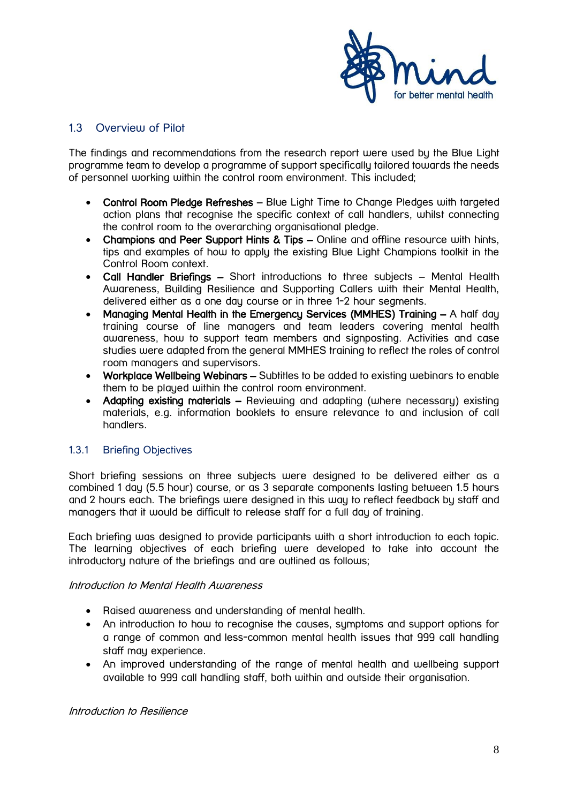

# <span id="page-7-0"></span>1.3 Overview of Pilot

The findings and recommendations from the research report were used by the Blue Light programme team to develop a programme of support specifically tailored towards the needs of personnel working within the control room environment. This included;

- Control Room Pledge Refreshes Blue Light Time to Change Pledges with targeted action plans that recognise the specific context of call handlers, whilst connecting the control room to the overarching organisational pledge.
- Champions and Peer Support Hints & Tips Online and offline resource with hints, tips and examples of how to apply the existing Blue Light Champions toolkit in the Control Room context.
- Call Handler Briefings Short introductions to three subjects Mental Health Awareness, Building Resilience and Supporting Callers with their Mental Health, delivered either as a one day course or in three 1-2 hour segments.
- Managing Mental Health in the Emergency Services (MMHES) Training A half day training course of line managers and team leaders covering mental health awareness, how to support team members and signposting. Activities and case studies were adapted from the general MMHES training to reflect the roles of control room managers and supervisors.
- Workplace Wellbeing Webinars Subtitles to be added to existing webinars to enable them to be played within the control room environment.
- Adapting existing materials Reviewing and adapting (where necessary) existing materials, e.g. information booklets to ensure relevance to and inclusion of call handlers.

#### <span id="page-7-1"></span>1.3.1 Briefing Objectives

Short briefing sessions on three subjects were designed to be delivered either as a combined 1 day (5.5 hour) course, or as 3 separate components lasting between 1.5 hours and 2 hours each. The briefings were designed in this way to reflect feedback by staff and managers that it would be difficult to release staff for a full day of training.

Each briefing was designed to provide participants with a short introduction to each topic. The learning objectives of each briefing were developed to take into account the introductory nature of the briefings and are outlined as follows;

#### Introduction to Mental Health Awareness

- Raised awareness and understanding of mental health.
- An introduction to how to recognise the causes, symptoms and support options for a range of common and less-common mental health issues that 999 call handling staff may experience.
- An improved understanding of the range of mental health and wellbeing support available to 999 call handling staff, both within and outside their organisation.

Introduction to Resilience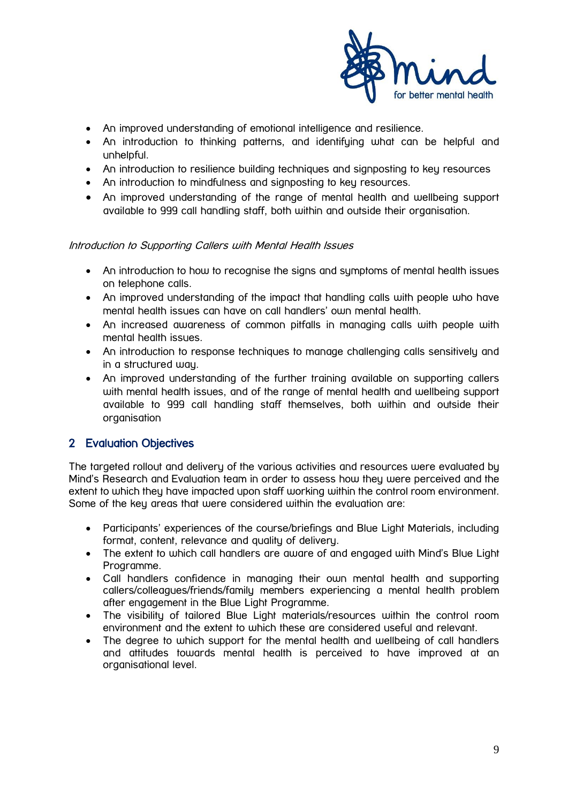

- An improved understanding of emotional intelligence and resilience.
- An introduction to thinking patterns, and identifying what can be helpful and unhelpful.
- An introduction to resilience building techniques and signposting to key resources
- An introduction to mindfulness and signposting to key resources.
- An improved understanding of the range of mental health and wellbeing support available to 999 call handling staff, both within and outside their organisation.

#### Introduction to Supporting Callers with Mental Health Issues

- An introduction to how to recognise the signs and symptoms of mental health issues on telephone calls.
- An improved understanding of the impact that handling calls with people who have mental health issues can have on call handlers' own mental health.
- An increased awareness of common pitfalls in managing calls with people with mental health issues.
- An introduction to response techniques to manage challenging calls sensitively and in a structured way.
- An improved understanding of the further training available on supporting callers with mental health issues, and of the range of mental health and wellbeing support available to 999 call handling staff themselves, both within and outside their organisation

# <span id="page-8-0"></span>2 Evaluation Objectives

The targeted rollout and delivery of the various activities and resources were evaluated by Mind's Research and Evaluation team in order to assess how they were perceived and the extent to which they have impacted upon staff working within the control room environment. Some of the key areas that were considered within the evaluation are:

- Participants' experiences of the course/briefings and Blue Light Materials, including format, content, relevance and quality of delivery.
- The extent to which call handlers are aware of and engaged with Mind's Blue Light Programme.
- Call handlers confidence in managing their own mental health and supporting callers/colleagues/friends/family members experiencing a mental health problem after engagement in the Blue Light Programme.
- The visibility of tailored Blue Light materials/resources within the control room environment and the extent to which these are considered useful and relevant.
- The degree to which support for the mental health and wellbeing of call handlers and attitudes towards mental health is perceived to have improved at an organisational level.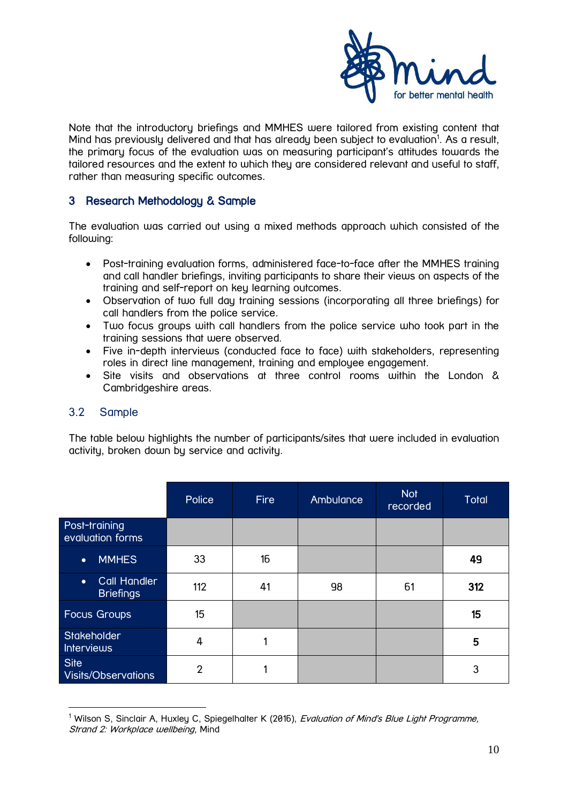

Note that the introductory briefings and MMHES were tailored from existing content that Mind has previously delivered and that has already been subject to evaluation<sup>1</sup>. As a result, the primary focus of the evaluation was on measuring participant's attitudes towards the tailored resources and the extent to which they are considered relevant and useful to staff, rather than measuring specific outcomes.

# <span id="page-9-0"></span>3 Research Methodology & Sample

The evaluation was carried out using a mixed methods approach which consisted of the following:

- Post-training evaluation forms, administered face-to-face after the MMHES training and call handler briefings, inviting participants to share their views on aspects of the training and self-report on key learning outcomes.
- Observation of two full day training sessions (incorporating all three briefings) for call handlers from the police service.
- Two focus groups with call handlers from the police service who took part in the training sessions that were observed.
- Five in-depth interviews (conducted face to face) with stakeholders, representing roles in direct line management, training and employee engagement.
- <span id="page-9-1"></span> Site visits and observations at three control rooms within the London & Cambridgeshire areas.

# 3.2 Sample

1

The table below highlights the number of participants/sites that were included in evaluation activity, broken down by service and activity.

|                                                      | Police         | <b>Fire</b> | Ambulance | <b>Not</b><br>recorded | <b>Total</b> |
|------------------------------------------------------|----------------|-------------|-----------|------------------------|--------------|
| Post-training<br>evaluation forms                    |                |             |           |                        |              |
| <b>MMHES</b><br>$\bullet$                            | 33             | 16          |           |                        | 49           |
| <b>Call Handler</b><br>$\bullet$<br><b>Briefings</b> | 112            | 41          | 98        | 61                     | 312          |
| Focus Groups                                         | 15             |             |           |                        | 15           |
| Stakeholder<br><b>Interviews</b>                     | 4              |             |           |                        | 5            |
| <b>Site</b><br>Visits/Observations                   | $\overline{2}$ |             |           |                        | 3            |

<sup>&</sup>lt;sup>1</sup> Wilson S, Sinclair A, Huxley C, Spiegelhalter K (2016), *Evaluation of Mind's Blue Light Programme*, Strand 2: Workplace wellbeing, Mind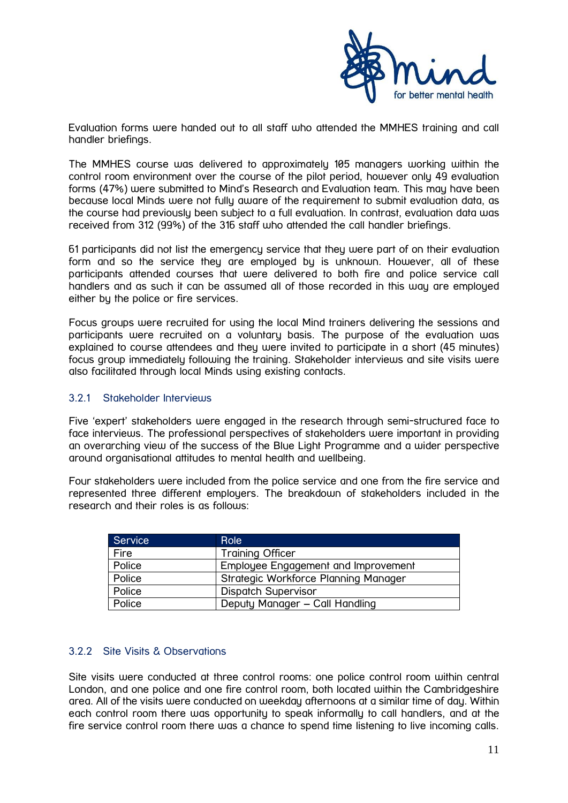

Evaluation forms were handed out to all staff who attended the MMHES training and call handler briefings.

The MMHES course was delivered to approximately 105 managers working within the control room environment over the course of the pilot period, however only 49 evaluation forms (47%) were submitted to Mind's Research and Evaluation team. This may have been because local Minds were not fully aware of the requirement to submit evaluation data, as the course had previously been subject to a full evaluation. In contrast, evaluation data was received from 312 (99%) of the 316 staff who attended the call handler briefings.

61 participants did not list the emergency service that they were part of on their evaluation form and so the service they are employed by is unknown. However, all of these participants attended courses that were delivered to both fire and police service call handlers and as such it can be assumed all of those recorded in this way are employed either by the police or fire services.

Focus groups were recruited for using the local Mind trainers delivering the sessions and participants were recruited on a voluntary basis. The purpose of the evaluation was explained to course attendees and they were invited to participate in a short (45 minutes) focus group immediately following the training. Stakeholder interviews and site visits were also facilitated through local Minds using existing contacts.

#### <span id="page-10-0"></span>3.2.1 Stakeholder Interviews

Five 'expert' stakeholders were engaged in the research through semi-structured face to face interviews. The professional perspectives of stakeholders were important in providing an overarching view of the success of the Blue Light Programme and a wider perspective around organisational attitudes to mental health and wellbeing.

Four stakeholders were included from the police service and one from the fire service and represented three different employers. The breakdown of stakeholders included in the research and their roles is as follows:

| <b>Service</b> | <b>Role</b>                          |
|----------------|--------------------------------------|
| Fire           | <b>Training Officer</b>              |
| Police         | Employee Engagement and Improvement  |
| Police         | Strategic Workforce Planning Manager |
| Police         | <b>Dispatch Supervisor</b>           |
| Police         | Deputy Manager - Call Handling       |

#### <span id="page-10-1"></span>3.2.2 Site Visits & Observations

Site visits were conducted at three control rooms: one police control room within central London, and one police and one fire control room, both located within the Cambridgeshire area. All of the visits were conducted on weekday afternoons at a similar time of day. Within each control room there was opportunity to speak informally to call handlers, and at the fire service control room there was a chance to spend time listening to live incoming calls.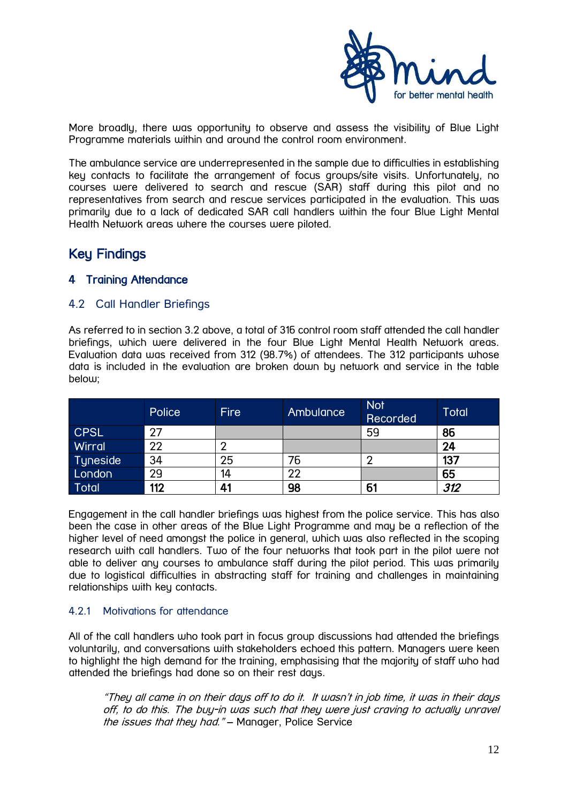

More broadly, there was opportunity to observe and assess the visibility of Blue Light Programme materials within and around the control room environment.

The ambulance service are underrepresented in the sample due to difficulties in establishing key contacts to facilitate the arrangement of focus groups/site visits. Unfortunately, no courses were delivered to search and rescue (SAR) staff during this pilot and no representatives from search and rescue services participated in the evaluation. This was primarily due to a lack of dedicated SAR call handlers within the four Blue Light Mental Health Network areas where the courses were piloted.

# Key Findings

# <span id="page-11-1"></span><span id="page-11-0"></span>4 Training Attendance

# 4.2 Call Handler Briefings

As referred to in section 3.2 above, a total of 316 control room staff attended the call handler briefings, which were delivered in the four Blue Light Mental Health Network areas. Evaluation data was received from 312 (98.7%) of attendees. The 312 participants whose data is included in the evaluation are broken down by network and service in the table below;

|                        | Police | <b>Fire</b> | Ambulance | <b>Not</b><br>Recorded | <b>Total</b> |
|------------------------|--------|-------------|-----------|------------------------|--------------|
| <b>CPSL</b>            | 27     |             |           | 59                     | 86           |
| Wirral                 | 22     |             |           |                        | 24           |
| ∣Tyneside <sup>⊺</sup> | 34     | 25          | 76        |                        | 137          |
| London                 | 29     | 14          | 22        |                        | 65           |
| Total                  | 112    | 41          | 98        | 61                     | 312          |

Engagement in the call handler briefings was highest from the police service. This has also been the case in other areas of the Blue Light Programme and may be a reflection of the higher level of need amongst the police in general, which was also reflected in the scoping research with call handlers. Two of the four networks that took part in the pilot were not able to deliver any courses to ambulance staff during the pilot period. This was primarily due to logistical difficulties in abstracting staff for training and challenges in maintaining relationships with key contacts.

#### <span id="page-11-2"></span>4.2.1 Motivations for attendance

All of the call handlers who took part in focus group discussions had attended the briefings voluntarily, and conversations with stakeholders echoed this pattern. Managers were keen to highlight the high demand for the training, emphasising that the majority of staff who had attended the briefings had done so on their rest days.

"They all came in on their days off to do it. It wasn't in job time, it was in their days off, to do this. The buy-in was such that they were just craving to actually unravel the issues that they had." - Manager, Police Service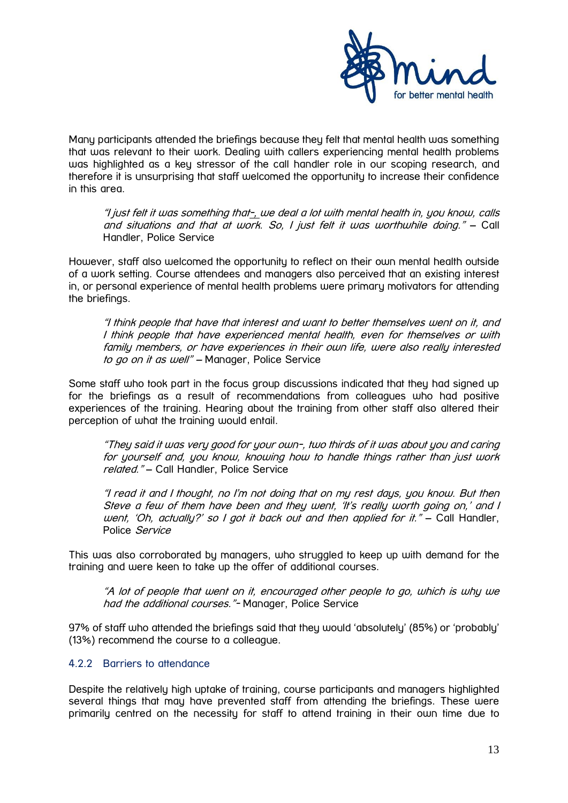

Many participants attended the briefings because they felt that mental health was something that was relevant to their work. Dealing with callers experiencing mental health problems was highlighted as a key stressor of the call handler role in our scoping research, and therefore it is unsurprising that staff welcomed the opportunity to increase their confidence in this area.

"I just felt it was something that-, we deal a lot with mental health in, you know, calls and situations and that at work. So, I just felt it was worthwhile doing." – Call Handler, Police Service

However, staff also welcomed the opportunity to reflect on their own mental health outside of a work setting. Course attendees and managers also perceived that an existing interest in, or personal experience of mental health problems were primary motivators for attending the briefings.

"I think people that have that interest and want to better themselves went on it, and I think people that have experienced mental health, even for themselves or with family members, or have experiences in their own life, were also really interested to go on it as well" - Manager, Police Service

Some staff who took part in the focus group discussions indicated that they had signed up for the briefings as a result of recommendations from colleagues who had positive experiences of the training. Hearing about the training from other staff also altered their perception of what the training would entail.

"They said it was very good for your own-, two thirds of it was about you and caring for yourself and, you know, knowing how to handle things rather than just work related." – Call Handler, Police Service

"I read it and I thought, no I'm not doing that on my rest days, you know. But then Steve a few of them have been and they went, 'It's really worth going on,' and I went, 'Oh, actually?' so I got it back out and then applied for it." – Call Handler, Police Service

This was also corroborated by managers, who struggled to keep up with demand for the training and were keen to take up the offer of additional courses.

"A lot of people that went on it, encouraged other people to go, which is why we had the additional courses." Manager, Police Service

97% of staff who attended the briefings said that they would 'absolutely' (85%) or 'probably' (13%) recommend the course to a colleague.

#### <span id="page-12-0"></span>4.2.2 Barriers to attendance

Despite the relatively high uptake of training, course participants and managers highlighted several things that may have prevented staff from attending the briefings. These were primarily centred on the necessity for staff to attend training in their own time due to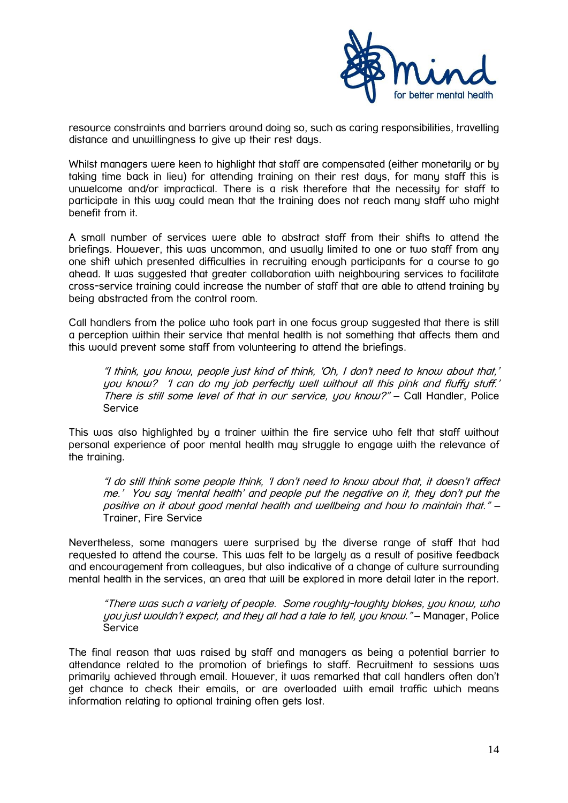

resource constraints and barriers around doing so, such as caring responsibilities, travelling distance and unwillingness to give up their rest days.

Whilst managers were keen to highlight that staff are compensated (either monetarily or by taking time back in lieu) for attending training on their rest days, for many staff this is unwelcome and/or impractical. There is a risk therefore that the necessity for staff to participate in this way could mean that the training does not reach many staff who might benefit from it.

A small number of services were able to abstract staff from their shifts to attend the briefings. However, this was uncommon, and usually limited to one or two staff from any one shift which presented difficulties in recruiting enough participants for a course to go ahead. It was suggested that greater collaboration with neighbouring services to facilitate cross-service training could increase the number of staff that are able to attend training by being abstracted from the control room.

Call handlers from the police who took part in one focus group suggested that there is still a perception within their service that mental health is not something that affects them and this would prevent some staff from volunteering to attend the briefings.

"I think, you know, people just kind of think, 'Oh, I don't need to know about that,' you know? 'I can do my job perfectly well without all this pink and fluffy stuff.' There is still some level of that in our service, you know?" – Call Handler, Police Service

This was also highlighted by a trainer within the fire service who felt that staff without personal experience of poor mental health may struggle to engage with the relevance of the training.

"I do still think some people think, 'I don't need to know about that, it doesn't affect me.' You say 'mental health' and people put the negative on it, they don't put the positive on it about good mental health and wellbeing and how to maintain that." – Trainer, Fire Service

Nevertheless, some managers were surprised by the diverse range of staff that had requested to attend the course. This was felt to be largely as a result of positive feedback and encouragement from colleagues, but also indicative of a change of culture surrounding mental health in the services, an area that will be explored in more detail later in the report.

"There was such a variety of people. Some roughty-toughty blokes, you know, who you just wouldn't expect, and they all had a tale to tell, you know." – Manager, Police Service

The final reason that was raised by staff and managers as being a potential barrier to attendance related to the promotion of briefings to staff. Recruitment to sessions was primarily achieved through email. However, it was remarked that call handlers often don't get chance to check their emails, or are overloaded with email traffic which means information relating to optional training often gets lost.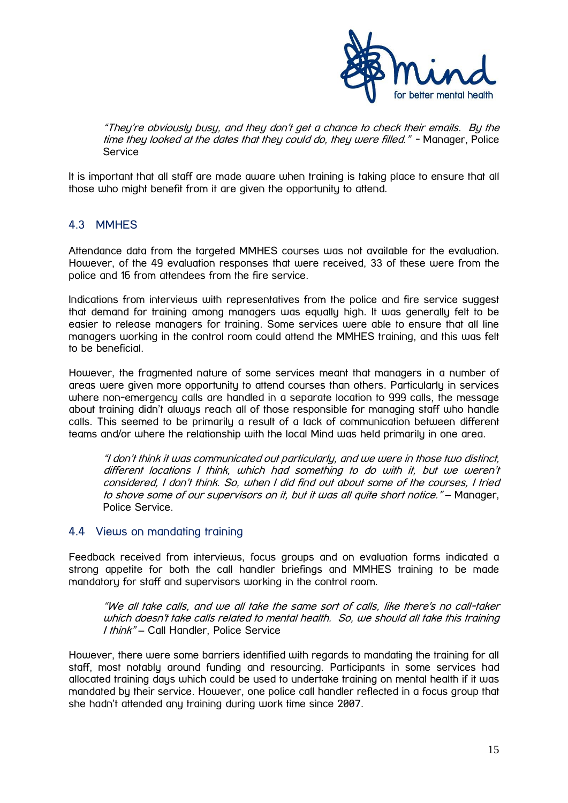

<span id="page-14-0"></span>"They're obviously busy, and they don't get a chance to check their emails. By the time they looked at the dates that they could do, they were filled." - Manager, Police Service

It is important that all staff are made aware when training is taking place to ensure that all those who might benefit from it are given the opportunity to attend.

# 4.3 MMHES

Attendance data from the targeted MMHES courses was not available for the evaluation. However, of the 49 evaluation responses that were received, 33 of these were from the police and 16 from attendees from the fire service.

Indications from interviews with representatives from the police and fire service suggest that demand for training among managers was equally high. It was generally felt to be easier to release managers for training. Some services were able to ensure that all line managers working in the control room could attend the MMHES training, and this was felt to be beneficial.

However, the fragmented nature of some services meant that managers in a number of areas were given more opportunity to attend courses than others. Particularly in services where non-emergency calls are handled in a separate location to 999 calls, the message about training didn't always reach all of those responsible for managing staff who handle calls. This seemed to be primarily a result of a lack of communication between different teams and/or where the relationship with the local Mind was held primarily in one area.

"I don't think it was communicated out particularly, and we were in those two distinct, different locations I think, which had something to do with it, but we weren't considered, I don't think. So, when I did find out about some of the courses, I tried to shove some of our supervisors on it, but it was all quite short notice." – Manager, Police Service.

# <span id="page-14-1"></span>4.4 Views on mandating training

Feedback received from interviews, focus groups and on evaluation forms indicated a strong appetite for both the call handler briefings and MMHES training to be made mandatory for staff and supervisors working in the control room.

"We all take calls, and we all take the same sort of calls, like there's no call-taker which doesn't take calls related to mental health. So, we should all take this training I think" – Call Handler, Police Service

However, there were some barriers identified with regards to mandating the training for all staff, most notably around funding and resourcing. Participants in some services had allocated training days which could be used to undertake training on mental health if it was mandated by their service. However, one police call handler reflected in a focus group that she hadn't attended any training during work time since 2007.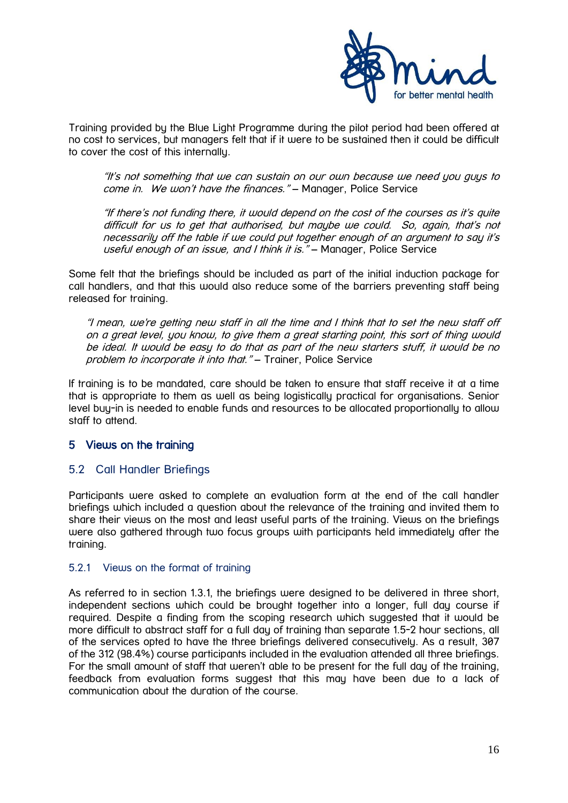

Training provided by the Blue Light Programme during the pilot period had been offered at no cost to services, but managers felt that if it were to be sustained then it could be difficult to cover the cost of this internally.

"It's not something that we can sustain on our own because we need you guys to come in. We won't have the finances." - Manager, Police Service

"If there's not funding there, it would depend on the cost of the courses as it's quite difficult for us to get that authorised, but maybe we could. So, again, that's not necessarily off the table if we could put together enough of an argument to say it's useful enough of an issue, and I think it is." – Manager, Police Service

Some felt that the briefings should be included as part of the initial induction package for call handlers, and that this would also reduce some of the barriers preventing staff being released for training.

"I mean, we're getting new staff in all the time and I think that to set the new staff off on a great level, you know, to give them a great starting point, this sort of thing would be ideal. It would be easy to do that as part of the new starters stuff, it would be no problem to incorporate it into that." - Trainer, Police Service

If training is to be mandated, care should be taken to ensure that staff receive it at a time that is appropriate to them as well as being logistically practical for organisations. Senior level buy-in is needed to enable funds and resources to be allocated proportionally to allow staff to attend.

# <span id="page-15-0"></span>5 Views on the training

#### <span id="page-15-1"></span>5.2 Call Handler Briefings

Participants were asked to complete an evaluation form at the end of the call handler briefings which included a question about the relevance of the training and invited them to share their views on the most and least useful parts of the training. Views on the briefings were also gathered through two focus groups with participants held immediately after the training.

#### <span id="page-15-2"></span>5.2.1 Views on the format of training

As referred to in section 1.3.1, the briefings were designed to be delivered in three short, independent sections which could be brought together into a longer, full day course if required. Despite a finding from the scoping research which suggested that it would be more difficult to abstract staff for a full day of training than separate 1.5-2 hour sections, all of the services opted to have the three briefings delivered consecutively. As a result, 307 of the 312 (98.4%) course participants included in the evaluation attended all three briefings. For the small amount of staff that weren't able to be present for the full day of the training, feedback from evaluation forms suggest that this may have been due to a lack of communication about the duration of the course.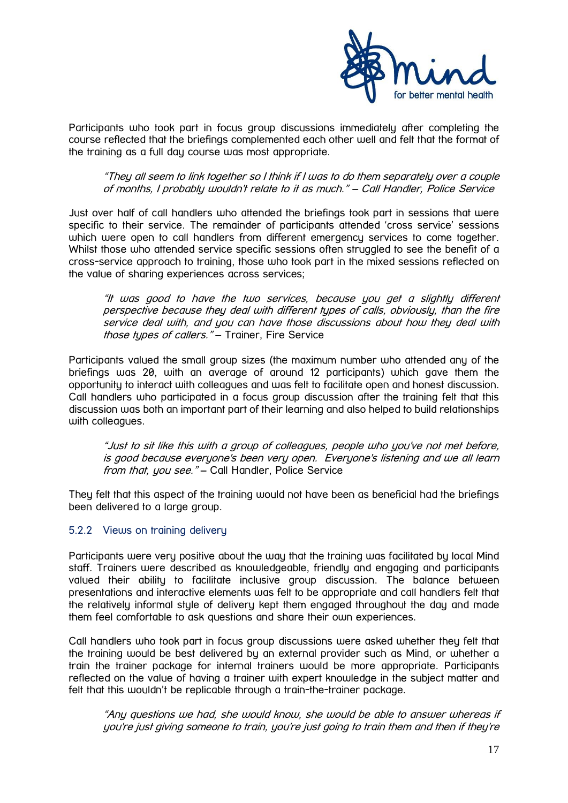

Participants who took part in focus group discussions immediately after completing the course reflected that the briefings complemented each other well and felt that the format of the training as a full day course was most appropriate.

"They all seem to link together so I think if I was to do them separately over a couple of months, I probably wouldn't relate to it as much." – Call Handler, Police Service

Just over half of call handlers who attended the briefings took part in sessions that were specific to their service. The remainder of participants attended 'cross service' sessions which were open to call handlers from different emergency services to come together. Whilst those who attended service specific sessions often struggled to see the benefit of a cross-service approach to training, those who took part in the mixed sessions reflected on the value of sharing experiences across services;

"It was good to have the two services, because you get a slightly different perspective because they deal with different types of calls, obviously, than the fire service deal with, and you can have those discussions about how they deal with those types of callers." - Trainer, Fire Service

Participants valued the small group sizes (the maximum number who attended any of the briefings was 20, with an average of around 12 participants) which gave them the opportunity to interact with colleagues and was felt to facilitate open and honest discussion. Call handlers who participated in a focus group discussion after the training felt that this discussion was both an important part of their learning and also helped to build relationships with colleagues.

"Just to sit like this with a group of colleagues, people who you've not met before, is good because everyone's been very open. Everyone's listening and we all learn from that, you see." - Call Handler, Police Service

They felt that this aspect of the training would not have been as beneficial had the briefings been delivered to a large group.

#### <span id="page-16-0"></span>5.2.2 Views on training delivery

Participants were very positive about the way that the training was facilitated by local Mind staff. Trainers were described as knowledgeable, friendly and engaging and participants valued their ability to facilitate inclusive group discussion. The balance between presentations and interactive elements was felt to be appropriate and call handlers felt that the relatively informal style of delivery kept them engaged throughout the day and made them feel comfortable to ask questions and share their own experiences.

Call handlers who took part in focus group discussions were asked whether they felt that the training would be best delivered by an external provider such as Mind, or whether a train the trainer package for internal trainers would be more appropriate. Participants reflected on the value of having a trainer with expert knowledge in the subject matter and felt that this wouldn't be replicable through a train-the-trainer package.

"Any questions we had, she would know, she would be able to answer whereas if you're just giving someone to train, you're just going to train them and then if they're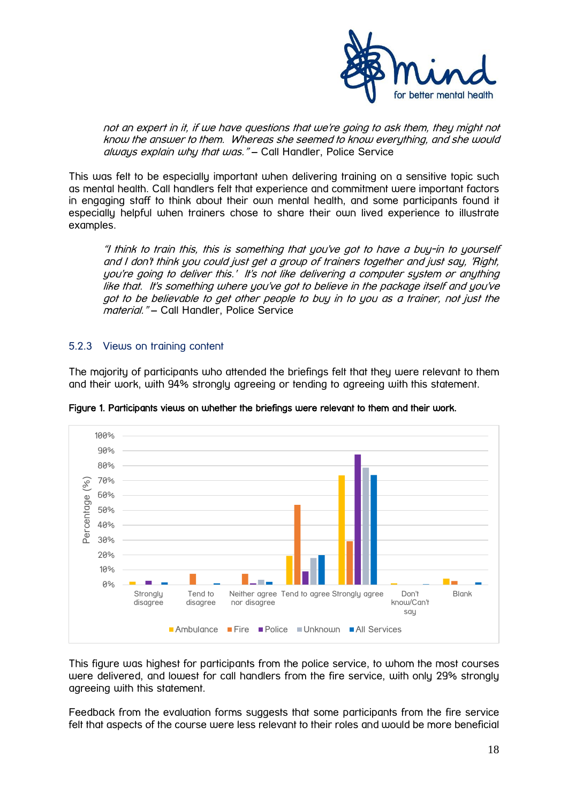

not an expert in it, if we have questions that we're going to ask them, they might not know the answer to them. Whereas she seemed to know everything, and she would always explain why that was." – Call Handler, Police Service

This was felt to be especially important when delivering training on a sensitive topic such as mental health. Call handlers felt that experience and commitment were important factors in engaging staff to think about their own mental health, and some participants found it especially helpful when trainers chose to share their own lived experience to illustrate examples.

"I think to train this, this is something that you've got to have a buy-in to yourself and I don't think you could just get a group of trainers together and just say, 'Right, you're going to deliver this.' It's not like delivering a computer system or anything like that. It's something where you've got to believe in the package itself and you've got to be believable to get other people to buy in to you as a trainer, not just the material." – Call Handler, Police Service

#### <span id="page-17-0"></span>5.2.3 Views on training content

The majority of participants who attended the briefings felt that they were relevant to them and their work, with 94% strongly agreeing or tending to agreeing with this statement.



Figure 1. Participants views on whether the briefings were relevant to them and their work.

This figure was highest for participants from the police service, to whom the most courses were delivered, and lowest for call handlers from the fire service, with only 29% strongly agreeing with this statement.

Feedback from the evaluation forms suggests that some participants from the fire service felt that aspects of the course were less relevant to their roles and would be more beneficial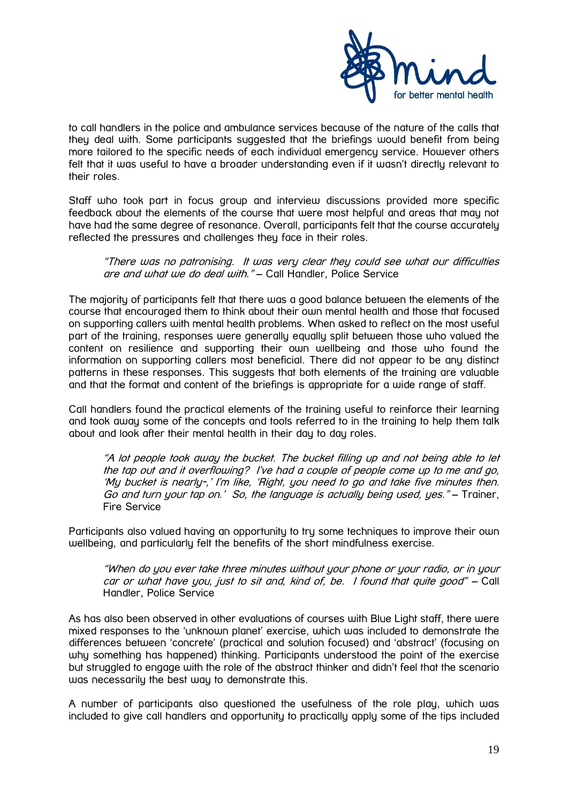

to call handlers in the police and ambulance services because of the nature of the calls that they deal with. Some participants suggested that the briefings would benefit from being more tailored to the specific needs of each individual emergency service. However others felt that it was useful to have a broader understanding even if it wasn't directly relevant to their roles.

Staff who took part in focus group and interview discussions provided more specific feedback about the elements of the course that were most helpful and areas that may not have had the same degree of resonance. Overall, participants felt that the course accurately reflected the pressures and challenges they face in their roles.

"There was no patronising. It was very clear they could see what our difficulties are and what we do deal with." - Call Handler, Police Service

The majority of participants felt that there was a good balance between the elements of the course that encouraged them to think about their own mental health and those that focused on supporting callers with mental health problems. When asked to reflect on the most useful part of the training, responses were generally equally split between those who valued the content on resilience and supporting their own wellbeing and those who found the information on supporting callers most beneficial. There did not appear to be any distinct patterns in these responses. This suggests that both elements of the training are valuable and that the format and content of the briefings is appropriate for a wide range of staff.

Call handlers found the practical elements of the training useful to reinforce their learning and took away some of the concepts and tools referred to in the training to help them talk about and look after their mental health in their day to day roles.

"A lot people took away the bucket. The bucket filling up and not being able to let the tap out and it overflowing? I've had a couple of people come up to me and go, 'My bucket is nearly-,' I'm like, 'Right, you need to go and take five minutes then. Go and turn your tap on.' So, the language is actually being used, yes." - Trainer, Fire Service

Participants also valued having an opportunity to try some techniques to improve their own wellbeing, and particularly felt the benefits of the short mindfulness exercise.

"When do you ever take three minutes without your phone or your radio, or in your car or what have you, just to sit and, kind of, be. I found that quite good" – Call Handler, Police Service

As has also been observed in other evaluations of courses with Blue Light staff, there were mixed responses to the 'unknown planet' exercise, which was included to demonstrate the differences between 'concrete' (practical and solution focused) and 'abstract' (focusing on why something has happened) thinking. Participants understood the point of the exercise but struggled to engage with the role of the abstract thinker and didn't feel that the scenario was necessarily the best way to demonstrate this.

A number of participants also questioned the usefulness of the role play, which was included to give call handlers and opportunity to practically apply some of the tips included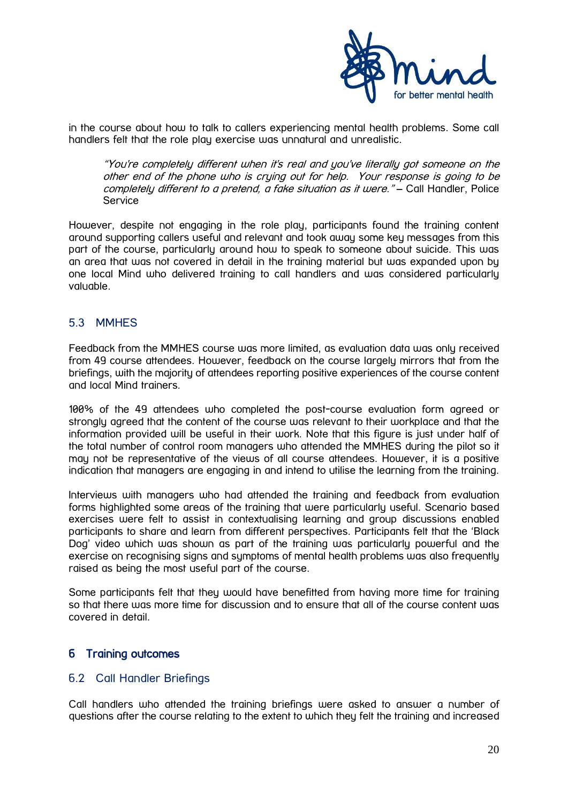

in the course about how to talk to callers experiencing mental health problems. Some call handlers felt that the role play exercise was unnatural and unrealistic.

"You're completely different when it's real and you've literally got someone on the other end of the phone who is crying out for help. Your response is going to be completely different to a pretend, a fake situation as it were." - Call Handler, Police Service

However, despite not engaging in the role play, participants found the training content around supporting callers useful and relevant and took away some key messages from this part of the course, particularly around how to speak to someone about suicide. This was an area that was not covered in detail in the training material but was expanded upon by one local Mind who delivered training to call handlers and was considered particularly valuable.

# <span id="page-19-0"></span>5.3 MMHES

Feedback from the MMHES course was more limited, as evaluation data was only received from 49 course attendees. However, feedback on the course largely mirrors that from the briefings, with the majority of attendees reporting positive experiences of the course content and local Mind trainers.

100% of the 49 attendees who completed the post-course evaluation form agreed or strongly agreed that the content of the course was relevant to their workplace and that the information provided will be useful in their work. Note that this figure is just under half of the total number of control room managers who attended the MMHES during the pilot so it may not be representative of the views of all course attendees. However, it is a positive indication that managers are engaging in and intend to utilise the learning from the training.

Interviews with managers who had attended the training and feedback from evaluation forms highlighted some areas of the training that were particularly useful. Scenario based exercises were felt to assist in contextualising learning and group discussions enabled participants to share and learn from different perspectives. Participants felt that the 'Black Dog' video which was shown as part of the training was particularly powerful and the exercise on recognising signs and symptoms of mental health problems was also frequently raised as being the most useful part of the course.

Some participants felt that they would have benefitted from having more time for training so that there was more time for discussion and to ensure that all of the course content was covered in detail.

# <span id="page-19-2"></span><span id="page-19-1"></span>6 Training outcomes

#### 6.2 Call Handler Briefings

Call handlers who attended the training briefings were asked to answer a number of questions after the course relating to the extent to which they felt the training and increased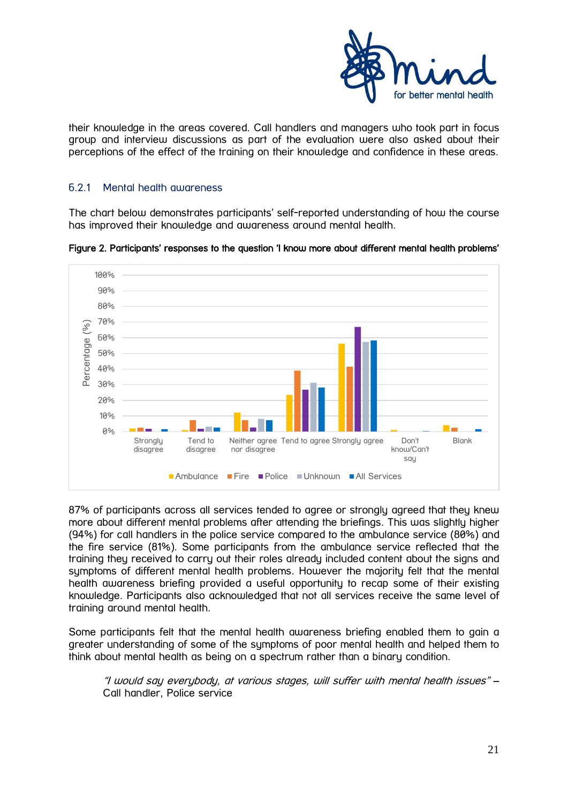

their knowledge in the areas covered. Call handlers and managers who took part in focus group and interview discussions as part of the evaluation were also asked about their perceptions of the effect of the training on their knowledge and confidence in these areas.

#### <span id="page-20-0"></span>6.2.1 Mental health awareness

The chart below demonstrates participants' self-reported understanding of how the course has improved their knowledge and awareness around mental health.



Figure 2. Participants' responses to the question 'I know more about different mental health problems'

87% of participants across all services tended to agree or stronaly agreed that they knew more about different mental problems after attending the briefings. This was slightly higher (94%) for call handlers in the police service compared to the ambulance service (80%) and the fire service (81%). Some participants from the ambulance service reflected that the training they received to carry out their roles already included content about the signs and symptoms of different mental health problems. However the majority felt that the mental health awareness briefing provided a useful opportunity to recap some of their existing knowledge. Participants also acknowledged that not all services receive the same level of training around mental health.

Some participants felt that the mental health awareness briefing enabled them to gain a greater understanding of some of the symptoms of poor mental health and helped them to think about mental health as being on a spectrum rather than a binary condition.

"I would say everybody, at various stages, will suffer with mental health issues" – Call handler, Police service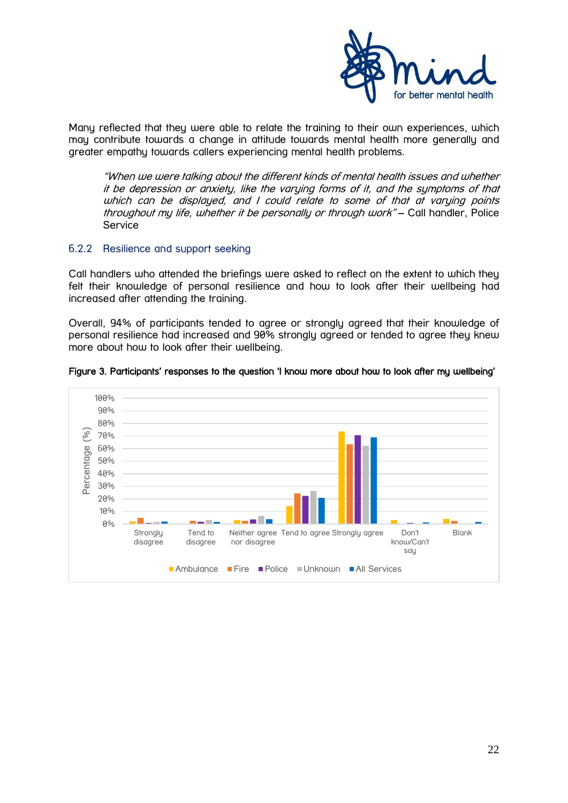

Many reflected that they were able to relate the training to their own experiences, which may contribute towards a change in attitude towards mental health more generally and greater empathy towards callers experiencing mental health problems.

"When we were talking about the different kinds of mental health issues and whether it be depression or anxiety, like the varying forms of it, and the symptoms of that which can be displayed, and I could relate to some of that at varying points throughout my life, whether it be personally or through work" – Call handler, Police Service

#### <span id="page-21-0"></span>6.2.2 Resilience and support seeking

Call handlers who attended the briefings were asked to reflect on the extent to which they felt their knowledge of personal resilience and how to look after their wellbeing had increased after attending the training.

Overall, 94% of participants tended to agree or strongly agreed that their knowledge of personal resilience had increased and 90% strongly agreed or tended to agree they knew more about how to look after their wellbeing.



#### Figure 3. Participants' responses to the question 'I know more about how to look after my wellbeing'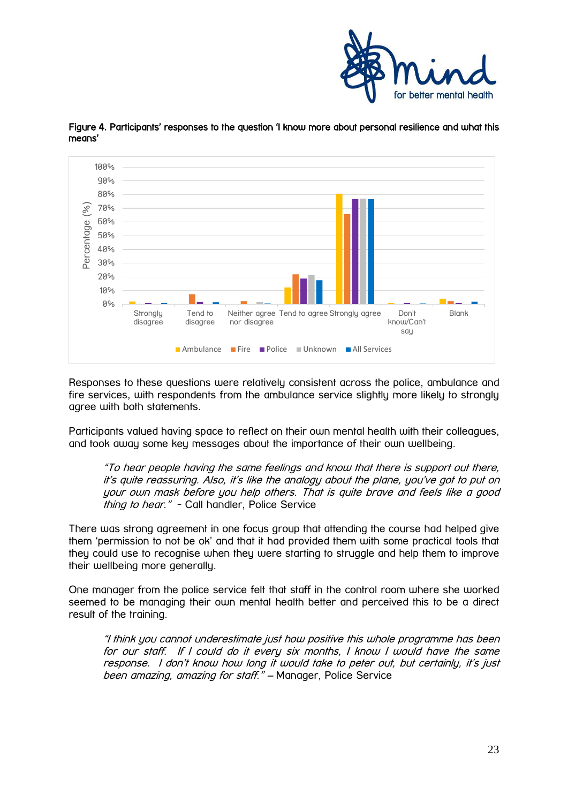



Figure 4. Participants' responses to the question 'I know more about personal resilience and what this means'

Responses to these questions were relatively consistent across the police, ambulance and fire services, with respondents from the ambulance service slightly more likely to strongly agree with both statements.

Participants valued having space to reflect on their own mental health with their colleagues, and took away some key messages about the importance of their own wellbeing.

"To hear people having the same feelings and know that there is support out there, it's quite reassuring. Also, it's like the analogy about the plane, you've got to put on your own mask before you help others. That is quite brave and feels like a good thing to hear." - Call handler, Police Service

There was strong agreement in one focus group that attending the course had helped give them 'permission to not be ok' and that it had provided them with some practical tools that they could use to recognise when they were starting to struggle and help them to improve their wellbeing more generally.

One manager from the police service felt that staff in the control room where she worked seemed to be managing their own mental health better and perceived this to be a direct result of the training.

"I think you cannot underestimate just how positive this whole programme has been for our staff. If I could do it every six months, I know I would have the same response. I don't know how long it would take to peter out, but certainly, it's just been amazing, amazing for staff." – Manager, Police Service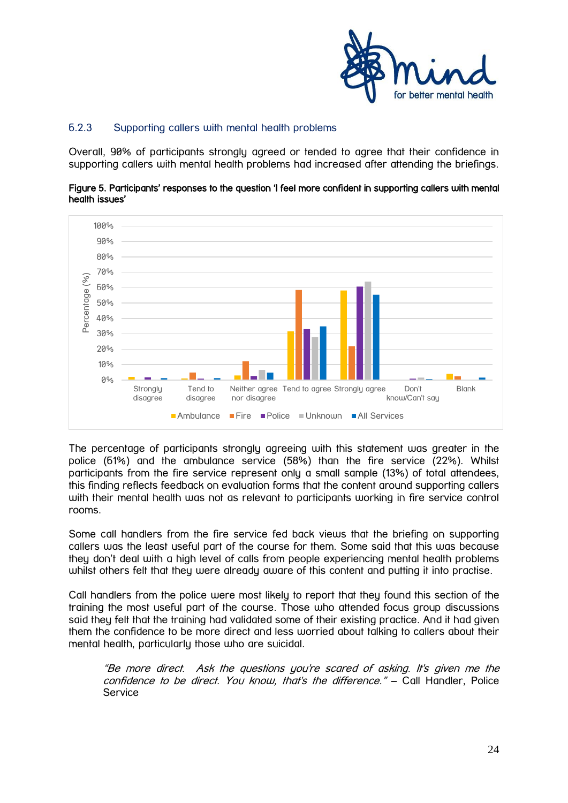

# <span id="page-23-0"></span>6.2.3 Supporting callers with mental health problems

Overall, 90% of participants strongly agreed or tended to agree that their confidence in supporting callers with mental health problems had increased after attending the briefings.





The percentage of participants strongly agreeing with this statement was greater in the police (61%) and the ambulance service (58%) than the fire service (22%). Whilst participants from the fire service represent only a small sample (13%) of total attendees, this finding reflects feedback on evaluation forms that the content around supporting callers with their mental health was not as relevant to participants working in fire service control rooms.

Some call handlers from the fire service fed back views that the briefing on supporting callers was the least useful part of the course for them. Some said that this was because they don't deal with a high level of calls from people experiencing mental health problems whilst others felt that they were already aware of this content and putting it into practise.

Call handlers from the police were most likely to report that they found this section of the training the most useful part of the course. Those who attended focus group discussions said they felt that the training had validated some of their existing practice. And it had given them the confidence to be more direct and less worried about talking to callers about their mental health, particularly those who are suicidal.

"Be more direct. Ask the questions you're scared of asking. It's given me the confidence to be direct. You know, that's the difference." - Call Handler, Police Service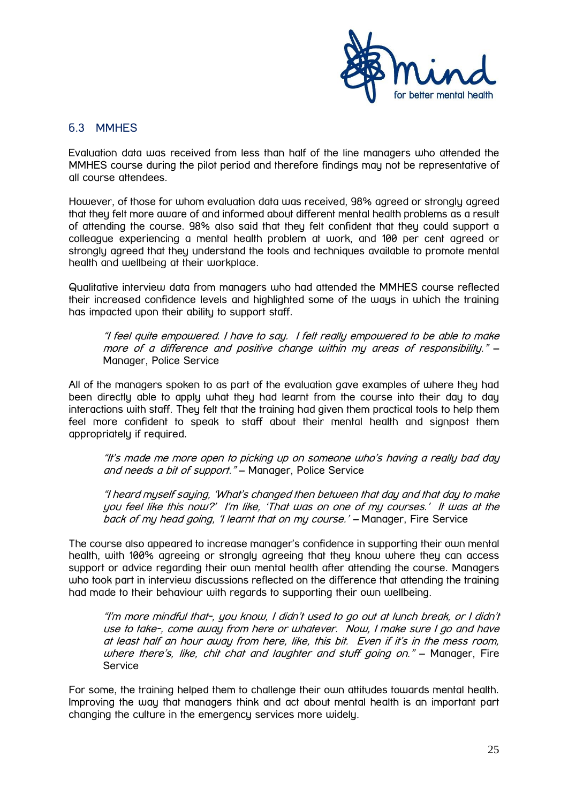

#### <span id="page-24-0"></span>6.3 MMHES

Evaluation data was received from less than half of the line managers who attended the MMHES course during the pilot period and therefore findings may not be representative of all course attendees.

However, of those for whom evaluation data was received, 98% agreed or strongly agreed that they felt more aware of and informed about different mental health problems as a result of attending the course. 98% also said that they felt confident that they could support a colleague experiencing a mental health problem at work, and 100 per cent agreed or strongly agreed that they understand the tools and techniques available to promote mental health and wellbeing at their workplace.

Qualitative interview data from managers who had attended the MMHES course reflected their increased confidence levels and highlighted some of the ways in which the training has impacted upon their ability to support staff.

"I feel quite empowered. I have to say. I felt really empowered to be able to make more of a difference and positive change within my areas of responsibility." – Manager, Police Service

All of the managers spoken to as part of the evaluation gave examples of where they had been directly able to apply what they had learnt from the course into their day to day interactions with staff. They felt that the training had given them practical tools to help them feel more confident to speak to staff about their mental health and signpost them appropriately if required.

"It's made me more open to picking up on someone who's having a really bad day and needs a bit of support." – Manager, Police Service

"I heard myself saying, 'What's changed then between that day and that day to make you feel like this now?' I'm like, 'That was on one of my courses.' It was at the back of my head going, 'I learnt that on my course.' – Manager, Fire Service

The course also appeared to increase manager's confidence in supporting their own mental health, with 100% agreeing or strongly agreeing that they know where they can access support or advice regarding their own mental health after attending the course. Managers who took part in interview discussions reflected on the difference that attending the training had made to their behaviour with regards to supporting their own wellbeing.

"I'm more mindful that-, you know, I didn't used to go out at lunch break, or I didn't use to take-, come away from here or whatever. Now, I make sure I go and have at least half an hour away from here, like, this bit. Even if it's in the mess room, where there's, like, chit chat and laughter and stuff going on." – Manager, Fire Service

For some, the training helped them to challenge their own attitudes towards mental health. Improving the way that managers think and act about mental health is an important part changing the culture in the emergency services more widely.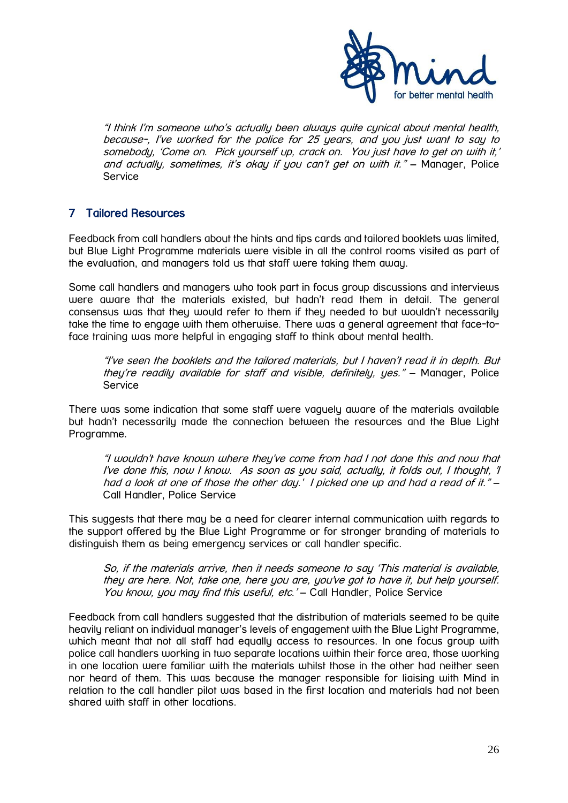

"I think I'<sup>m</sup> someone who's actually been always quite cynical about mental health, because-, I've worked for the police for 25 years, and you just want to say to somebody, 'Come on. Pick yourself up, crack on. You just have to get on with it,' and actually, sometimes, it's okay if you can't get on with it." - Manager, Police Service

# <span id="page-25-0"></span>7 Tailored Resources

Feedback from call handlers about the hints and tips cards and tailored booklets was limited, but Blue Light Programme materials were visible in all the control rooms visited as part of the evaluation, and managers told us that staff were taking them away.

Some call handlers and managers who took part in focus group discussions and interviews were aware that the materials existed, but hadn't read them in detail. The general consensus was that they would refer to them if they needed to but wouldn't necessarily take the time to engage with them otherwise. There was a general agreement that face-toface training was more helpful in engaging staff to think about mental health.

"I've seen the booklets and the tailored materials, but I haven't read it in depth. But they're readily available for staff and visible, definitely, yes." – Manager, Police Service

There was some indication that some staff were vaguely aware of the materials available but hadn't necessarily made the connection between the resources and the Blue Light Programme.

"I wouldn't have known where they've come from had I not done this and now that I've done this, now I know. As soon as you said, actually, it folds out, I thought, 'I had a look at one of those the other day.' I picked one up and had a read of it." – Call Handler, Police Service

This suggests that there may be a need for clearer internal communication with regards to the support offered by the Blue Light Programme or for stronger branding of materials to distinguish them as being emergency services or call handler specific.

So, if the materials arrive, then it needs someone to say 'This material is available, they are here. Not, take one, here you are, you've got to have it, but help yourself. You know, you may find this useful, etc.' - Call Handler, Police Service

Feedback from call handlers suggested that the distribution of materials seemed to be quite heavily reliant on individual manager's levels of engagement with the Blue Light Programme, which meant that not all staff had equally access to resources. In one focus group with police call handlers working in two separate locations within their force area, those working in one location were familiar with the materials whilst those in the other had neither seen nor heard of them. This was because the manager responsible for liaising with Mind in relation to the call handler pilot was based in the first location and materials had not been shared with staff in other locations.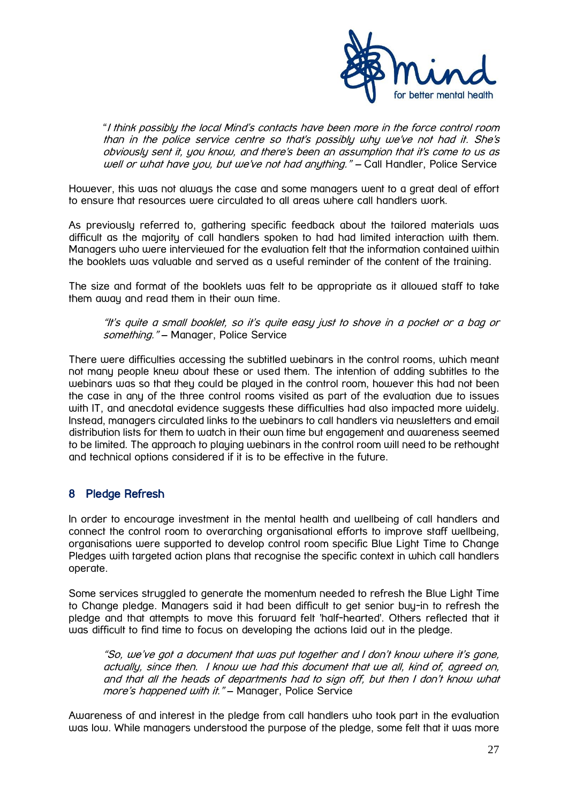

"I think possibly the local Mind's contacts have been more in the force control room than in the police service centre so that's possibly why we've not had it. She's obviously sent it, you know, and there's been an assumption that it's come to us as well or what have you, but we've not had anything." - Call Handler, Police Service

However, this was not always the case and some managers went to a great deal of effort to ensure that resources were circulated to all areas where call handlers work.

As previously referred to, gathering specific feedback about the tailored materials was difficult as the majority of call handlers spoken to had had limited interaction with them. Managers who were interviewed for the evaluation felt that the information contained within the booklets was valuable and served as a useful reminder of the content of the training.

The size and format of the booklets was felt to be appropriate as it allowed staff to take them away and read them in their own time.

"It's quite a small booklet, so it's quite easy just to shove in a pocket or a bag or something." - Manager, Police Service

There were difficulties accessing the subtitled webinars in the control rooms, which meant not many people knew about these or used them. The intention of adding subtitles to the webinars was so that they could be played in the control room, however this had not been the case in any of the three control rooms visited as part of the evaluation due to issues with IT, and anecdotal evidence suggests these difficulties had also impacted more widely. Instead, managers circulated links to the webinars to call handlers via newsletters and email distribution lists for them to watch in their own time but engagement and awareness seemed to be limited. The approach to playing webinars in the control room will need to be rethought and technical options considered if it is to be effective in the future.

# <span id="page-26-0"></span>8 Pledge Refresh

In order to encourage investment in the mental health and wellbeing of call handlers and connect the control room to overarching organisational efforts to improve staff wellbeing, organisations were supported to develop control room specific Blue Light Time to Change Pledges with targeted action plans that recognise the specific context in which call handlers operate.

Some services struggled to generate the momentum needed to refresh the Blue Light Time to Change pledge. Managers said it had been difficult to get senior buy-in to refresh the pledge and that attempts to move this forward felt 'half-hearted'. Others reflected that it was difficult to find time to focus on developing the actions laid out in the pledge.

"So, we've got a document that was put together and I don't know where it's gone, actually, since then. I know we had this document that we all, kind of, agreed on, and that all the heads of departments had to sign off, but then I don't know what more's happened with it." - Manager, Police Service

Awareness of and interest in the pledge from call handlers who took part in the evaluation was low. While managers understood the purpose of the pledge, some felt that it was more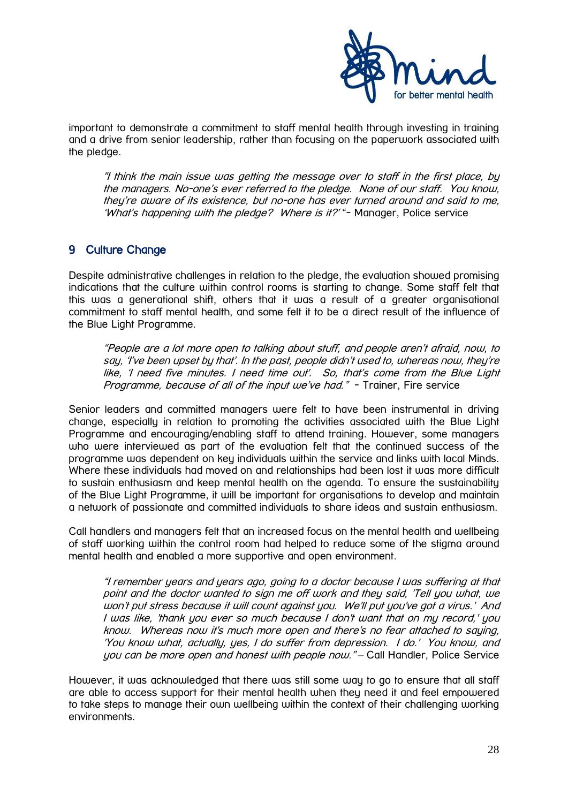

important to demonstrate a commitment to staff mental health through investing in training and a drive from senior leadership, rather than focusing on the paperwork associated with the pledge.

"I think the main issue was getting the message over to staff in the first place, by the managers. No-one's ever referred to the pledge. None of our staff. You know, they're aware of its existence, but no-one has ever turned around and said to me, 'What's happening with the pledge? Where is it?'"- Manager, Police service

# <span id="page-27-0"></span>9 Culture Change

Despite administrative challenges in relation to the pledge, the evaluation showed promising indications that the culture within control rooms is starting to change. Some staff felt that this was a generational shift, others that it was a result of a greater organisational commitment to staff mental health, and some felt it to be a direct result of the influence of the Blue Light Programme.

"People are a lot more open to talking about stuff, and people aren't afraid, now, to say, 'I've been upset by that'. In the past, people didn't used to, whereas now, they're like, 'I need five minutes. I need time out'. So, that's come from the Blue Light Programme, because of all of the input we've had." - Trainer, Fire service

Senior leaders and committed managers were felt to have been instrumental in driving change, especially in relation to promoting the activities associated with the Blue Light Programme and encouraging/enabling staff to attend training. However, some managers who were interviewed as part of the evaluation felt that the continued success of the programme was dependent on key individuals within the service and links with local Minds. Where these individuals had moved on and relationships had been lost it was more difficult to sustain enthusiasm and keep mental health on the agenda. To ensure the sustainability of the Blue Light Programme, it will be important for organisations to develop and maintain a network of passionate and committed individuals to share ideas and sustain enthusiasm.

Call handlers and managers felt that an increased focus on the mental health and wellbeing of staff working within the control room had helped to reduce some of the stigma around mental health and enabled a more supportive and open environment.

"I remember years and years ago, going to a doctor because I was suffering at that point and the doctor wanted to sign me off work and they said, 'Tell you what, we won't put stress because it will count against you. We'll put you've got a virus.' And I was like, 'thank you ever so much because I don't want that on my record,' you know. Whereas now it's much more open and there's no fear attached to saying, 'You know what, actually, yes, I do suffer from depression. I do.' You know, and you can be more open and honest with people now." – Call Handler, Police Service

However, it was acknowledged that there was still some way to go to ensure that all staff are able to access support for their mental health when they need it and feel empowered to take steps to manage their own wellbeing within the context of their challenging working environments.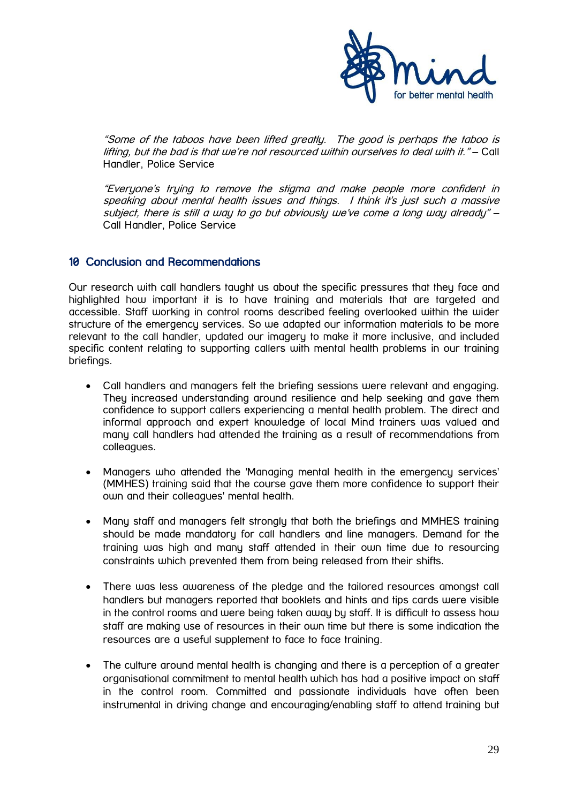

"Some of the taboos have been lifted greatly. The good is perhaps the taboo is lifting, but the bad is that we're not resourced within ourselves to deal with it." – Call Handler, Police Service

"Everyone's trying to remove the stigma and make people more confident in speaking about mental health issues and things. I think it's just such a massive subject, there is still a way to go but obviously we've come a long way already" – Call Handler, Police Service

# <span id="page-28-0"></span>10 Conclusion and Recommendations

Our research with call handlers taught us about the specific pressures that they face and highlighted how important it is to have training and materials that are targeted and accessible. Staff working in control rooms described feeling overlooked within the wider structure of the emergency services. So we adapted our information materials to be more relevant to the call handler, updated our imagery to make it more inclusive, and included specific content relating to supporting callers with mental health problems in our training briefings.

- Call handlers and managers felt the briefing sessions were relevant and engaging. They increased understanding around resilience and help seeking and gave them confidence to support callers experiencing a mental health problem. The direct and informal approach and expert knowledge of local Mind trainers was valued and many call handlers had attended the training as a result of recommendations from colleagues.
- Managers who attended the 'Managing mental health in the emergency services' (MMHES) training said that the course gave them more confidence to support their own and their colleagues' mental health.
- Many staff and managers felt strongly that both the briefings and MMHES training should be made mandatory for call handlers and line managers. Demand for the training was high and many staff attended in their own time due to resourcing constraints which prevented them from being released from their shifts.
- There was less awareness of the pledge and the tailored resources amongst call handlers but managers reported that booklets and hints and tips cards were visible in the control rooms and were being taken away by staff. It is difficult to assess how staff are making use of resources in their own time but there is some indication the resources are a useful supplement to face to face training.
- The culture around mental health is changing and there is a perception of a greater organisational commitment to mental health which has had a positive impact on staff in the control room. Committed and passionate individuals have often been instrumental in driving change and encouraging/enabling staff to attend training but